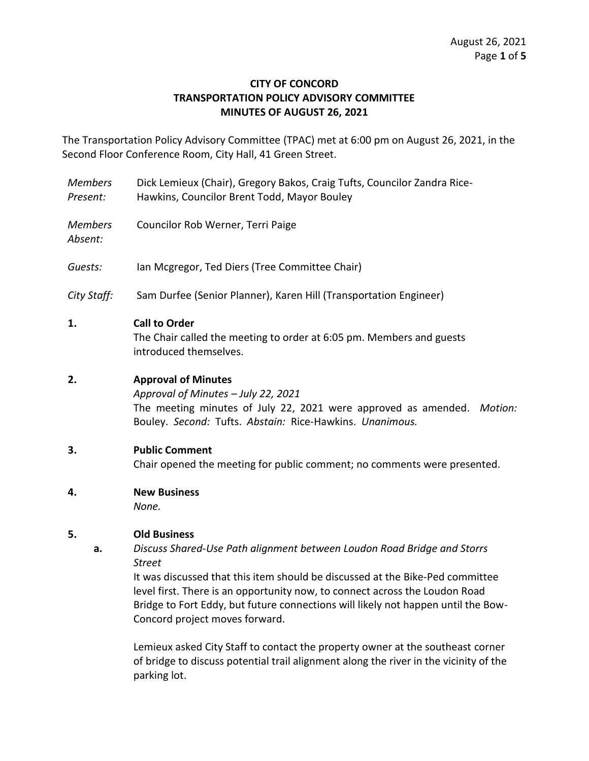## **CITY OF CONCORD TRANSPORTATION POLICY ADVISORY COMMITTEE MINUTES OF AUGUST 26, 2021**

The Transportation Policy Advisory Committee (TPAC) met at 6:00 pm on August 26, 2021, in the Second Floor Conference Room, City Hall, 41 Green Street.

- *Members Present:* Dick Lemieux (Chair), Gregory Bakos, Craig Tufts, Councilor Zandra Rice-Hawkins, Councilor Brent Todd, Mayor Bouley
- *Members*  Councilor Rob Werner, Terri Paige

*Absent:*

- *Guests:* Ian Mcgregor, Ted Diers (Tree Committee Chair)
- *City Staff:* Sam Durfee (Senior Planner), Karen Hill (Transportation Engineer)

### **1. Call to Order**

The Chair called the meeting to order at 6:05 pm. Members and guests introduced themselves.

## **2. Approval of Minutes**

*Approval of Minutes – July 22, 2021* The meeting minutes of July 22, 2021 were approved as amended. *Motion:*  Bouley. *Second:* Tufts. *Abstain:* Rice-Hawkins. *Unanimous.* 

### **3. Public Comment**

Chair opened the meeting for public comment; no comments were presented.

**4. New Business**

*None.*

### **5. Old Business**

**a.** *Discuss Shared-Use Path alignment between Loudon Road Bridge and Storrs Street*

It was discussed that this item should be discussed at the Bike-Ped committee level first. There is an opportunity now, to connect across the Loudon Road Bridge to Fort Eddy, but future connections will likely not happen until the Bow-Concord project moves forward.

Lemieux asked City Staff to contact the property owner at the southeast corner of bridge to discuss potential trail alignment along the river in the vicinity of the parking lot.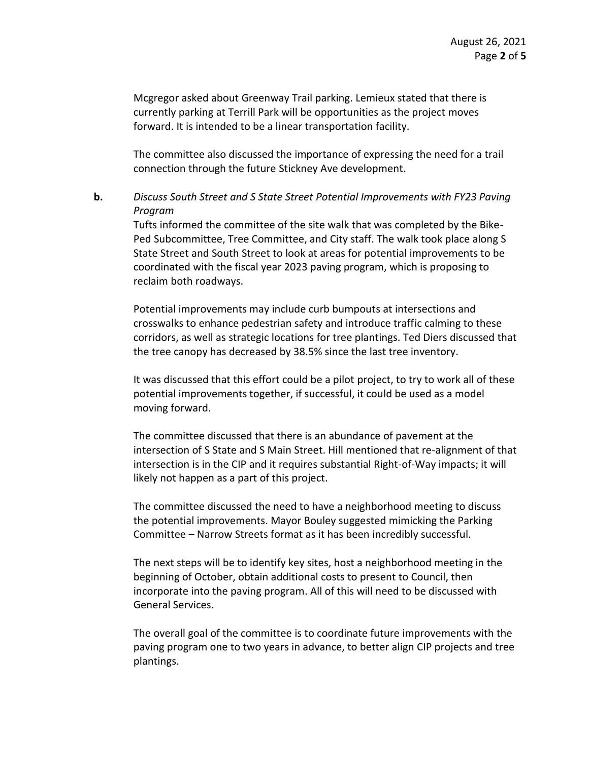Mcgregor asked about Greenway Trail parking. Lemieux stated that there is currently parking at Terrill Park will be opportunities as the project moves forward. It is intended to be a linear transportation facility.

The committee also discussed the importance of expressing the need for a trail connection through the future Stickney Ave development.

# **b.** *Discuss South Street and S State Street Potential Improvements with FY23 Paving Program*

Tufts informed the committee of the site walk that was completed by the Bike-Ped Subcommittee, Tree Committee, and City staff. The walk took place along S State Street and South Street to look at areas for potential improvements to be coordinated with the fiscal year 2023 paving program, which is proposing to reclaim both roadways.

Potential improvements may include curb bumpouts at intersections and crosswalks to enhance pedestrian safety and introduce traffic calming to these corridors, as well as strategic locations for tree plantings. Ted Diers discussed that the tree canopy has decreased by 38.5% since the last tree inventory.

It was discussed that this effort could be a pilot project, to try to work all of these potential improvements together, if successful, it could be used as a model moving forward.

The committee discussed that there is an abundance of pavement at the intersection of S State and S Main Street. Hill mentioned that re-alignment of that intersection is in the CIP and it requires substantial Right-of-Way impacts; it will likely not happen as a part of this project.

The committee discussed the need to have a neighborhood meeting to discuss the potential improvements. Mayor Bouley suggested mimicking the Parking Committee – Narrow Streets format as it has been incredibly successful.

The next steps will be to identify key sites, host a neighborhood meeting in the beginning of October, obtain additional costs to present to Council, then incorporate into the paving program. All of this will need to be discussed with General Services.

The overall goal of the committee is to coordinate future improvements with the paving program one to two years in advance, to better align CIP projects and tree plantings.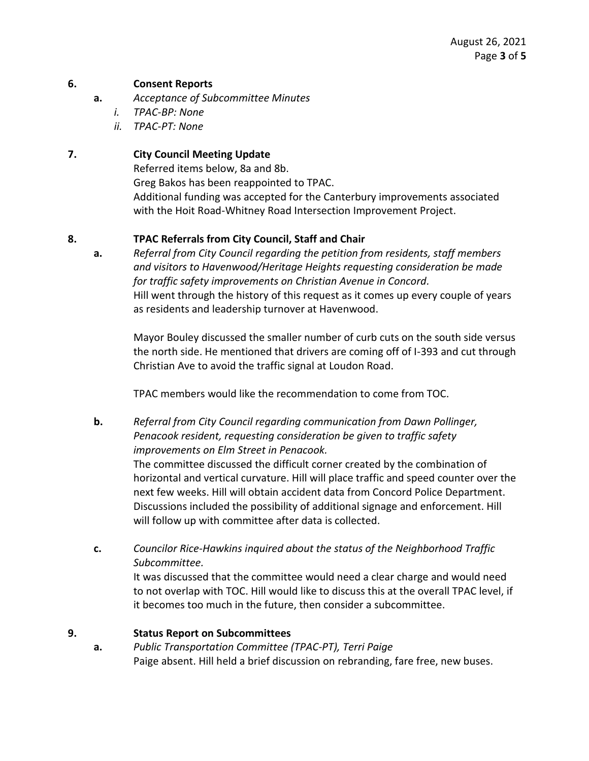### **6. Consent Reports**

- **a.** *Acceptance of Subcommittee Minutes*
	- *i. TPAC-BP: None*
	- *ii. TPAC-PT: None*

### **7. City Council Meeting Update**

Referred items below, 8a and 8b. Greg Bakos has been reappointed to TPAC. Additional funding was accepted for the Canterbury improvements associated with the Hoit Road-Whitney Road Intersection Improvement Project.

## **8. TPAC Referrals from City Council, Staff and Chair**

**a.** *Referral from City Council regarding the petition from residents, staff members and visitors to Havenwood/Heritage Heights requesting consideration be made for traffic safety improvements on Christian Avenue in Concord.* Hill went through the history of this request as it comes up every couple of years as residents and leadership turnover at Havenwood.

Mayor Bouley discussed the smaller number of curb cuts on the south side versus the north side. He mentioned that drivers are coming off of I-393 and cut through Christian Ave to avoid the traffic signal at Loudon Road.

TPAC members would like the recommendation to come from TOC.

- **b.** *Referral from City Council regarding communication from Dawn Pollinger, Penacook resident, requesting consideration be given to traffic safety improvements on Elm Street in Penacook.* The committee discussed the difficult corner created by the combination of horizontal and vertical curvature. Hill will place traffic and speed counter over the next few weeks. Hill will obtain accident data from Concord Police Department. Discussions included the possibility of additional signage and enforcement. Hill will follow up with committee after data is collected.
- **c.** *Councilor Rice-Hawkins inquired about the status of the Neighborhood Traffic Subcommittee.* It was discussed that the committee would need a clear charge and would need to not overlap with TOC. Hill would like to discuss this at the overall TPAC level, if it becomes too much in the future, then consider a subcommittee.

### **9. Status Report on Subcommittees**

**a.** *Public Transportation Committee (TPAC-PT), Terri Paige*  Paige absent. Hill held a brief discussion on rebranding, fare free, new buses.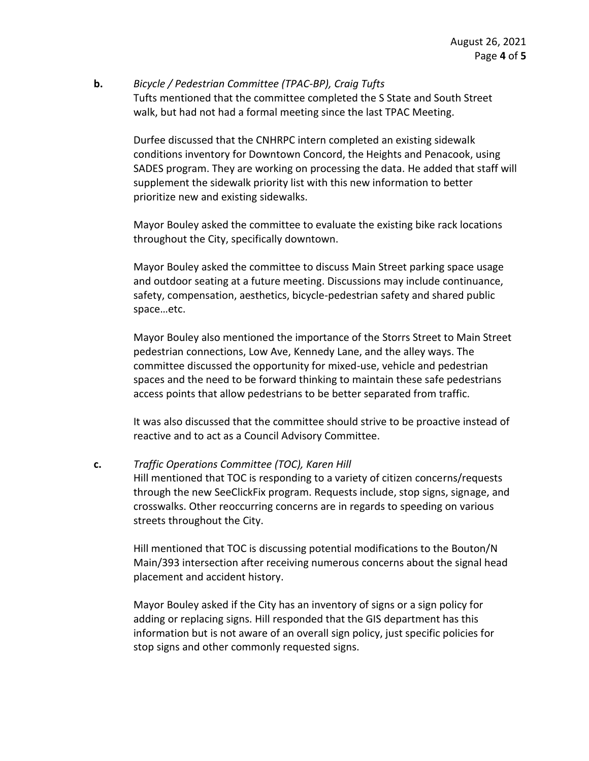### **b.** *Bicycle / Pedestrian Committee (TPAC-BP), Craig Tufts* Tufts mentioned that the committee completed the S State and South Street walk, but had not had a formal meeting since the last TPAC Meeting.

Durfee discussed that the CNHRPC intern completed an existing sidewalk conditions inventory for Downtown Concord, the Heights and Penacook, using SADES program. They are working on processing the data. He added that staff will supplement the sidewalk priority list with this new information to better prioritize new and existing sidewalks.

Mayor Bouley asked the committee to evaluate the existing bike rack locations throughout the City, specifically downtown.

Mayor Bouley asked the committee to discuss Main Street parking space usage and outdoor seating at a future meeting. Discussions may include continuance, safety, compensation, aesthetics, bicycle-pedestrian safety and shared public space…etc.

Mayor Bouley also mentioned the importance of the Storrs Street to Main Street pedestrian connections, Low Ave, Kennedy Lane, and the alley ways. The committee discussed the opportunity for mixed-use, vehicle and pedestrian spaces and the need to be forward thinking to maintain these safe pedestrians access points that allow pedestrians to be better separated from traffic.

It was also discussed that the committee should strive to be proactive instead of reactive and to act as a Council Advisory Committee.

### **c.** *Traffic Operations Committee (TOC), Karen Hill*

Hill mentioned that TOC is responding to a variety of citizen concerns/requests through the new SeeClickFix program. Requests include, stop signs, signage, and crosswalks. Other reoccurring concerns are in regards to speeding on various streets throughout the City.

Hill mentioned that TOC is discussing potential modifications to the Bouton/N Main/393 intersection after receiving numerous concerns about the signal head placement and accident history.

Mayor Bouley asked if the City has an inventory of signs or a sign policy for adding or replacing signs. Hill responded that the GIS department has this information but is not aware of an overall sign policy, just specific policies for stop signs and other commonly requested signs.